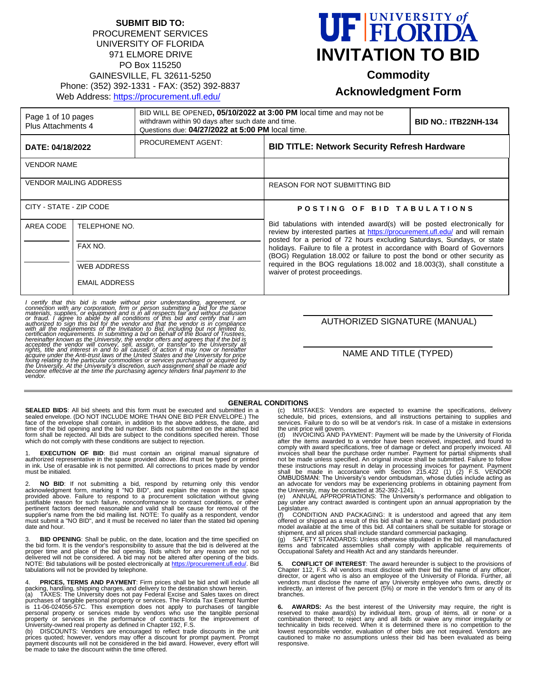#### **SUBMIT BID TO:** PROCUREMENT SERVICES UNIVERSITY OF FLORIDA 971 ELMORE DRIVE PO Box 115250 GAINESVILLE, FL 32611-5250 Phone: (352) 392-1331 - FAX: (352) 392-8837 Web Address: <https://procurement.ufl.edu/>



**Commodity**

# **Acknowledgment Form**

| Page 1 of 10 pages<br>Plus Attachments 4 |                          | BID WILL BE OPENED, 05/10/2022 at 3:00 PM local time and may not be<br>withdrawn within 90 days after such date and time.<br>Questions due: 04/27/2022 at 5:00 PM local time. |                                                                                                                                                                                                                                                                                                                                                                                                                                                                                                           | <b>BID NO.: ITB22NH-134</b> |
|------------------------------------------|--------------------------|-------------------------------------------------------------------------------------------------------------------------------------------------------------------------------|-----------------------------------------------------------------------------------------------------------------------------------------------------------------------------------------------------------------------------------------------------------------------------------------------------------------------------------------------------------------------------------------------------------------------------------------------------------------------------------------------------------|-----------------------------|
| DATE: 04/18/2022                         |                          | PROCUREMENT AGENT:                                                                                                                                                            | <b>BID TITLE: Network Security Refresh Hardware</b>                                                                                                                                                                                                                                                                                                                                                                                                                                                       |                             |
| <b>VENDOR NAME</b>                       |                          |                                                                                                                                                                               |                                                                                                                                                                                                                                                                                                                                                                                                                                                                                                           |                             |
| <b>VENDOR MAILING ADDRESS</b>            |                          |                                                                                                                                                                               | <b>REASON FOR NOT SUBMITTING BID</b>                                                                                                                                                                                                                                                                                                                                                                                                                                                                      |                             |
| CITY - STATE - ZIP CODE                  |                          |                                                                                                                                                                               | POSTING OF BID TABULATIONS                                                                                                                                                                                                                                                                                                                                                                                                                                                                                |                             |
| AREA CODE                                | TELEPHONE NO.<br>FAX NO. |                                                                                                                                                                               | Bid tabulations with intended award(s) will be posted electronically for<br>review by interested parties at https://procurement.ufl.edu/ and will remain<br>posted for a period of 72 hours excluding Saturdays, Sundays, or state<br>holidays. Failure to file a protest in accordance with Board of Governors<br>(BOG) Regulation 18.002 or failure to post the bond or other security as<br>required in the BOG regulations 18.002 and 18.003(3), shall constitute a<br>waiver of protest proceedings. |                             |
|                                          |                          |                                                                                                                                                                               |                                                                                                                                                                                                                                                                                                                                                                                                                                                                                                           |                             |
|                                          | <b>WEB ADDRESS</b>       |                                                                                                                                                                               |                                                                                                                                                                                                                                                                                                                                                                                                                                                                                                           |                             |
|                                          | <b>EMAIL ADDRESS</b>     |                                                                                                                                                                               |                                                                                                                                                                                                                                                                                                                                                                                                                                                                                                           |                             |

I certify that this bid is made without prior understanding, agreement, or connection with any corporation, firm or person submitting a bid for the same materials, supplies, or equipment and is in all respects fair and wit

#### AUTHORIZED SIGNATURE (MANUAL)

NAME AND TITLE (TYPED)

#### **GENERAL CONDITIONS**

**SEALED BIDS**: All bid sheets and this form must be executed and submitted in a sealed envelope. (DO NOT INCLUDE MORE THAN ONE BID PER ENVELOPE.) The face of the envelope shall contain, in addition to the above address, the date, and<br>time of the bid opening and the bid number. Bids not submitted on the attached bid<br>form shall be rejected. All bids are subject to the con which do not comply with these conditions are subject to rejection.

1. EXECUTION OF BID: Bid must contain an original manual signature of<br>authorized representative in the space provided above. Bid must be typed or printed<br>in ink. Use of erasable ink is not permitted. All corrections to pri must be initialed.

2. **NO BID**: If not submitting a bid, respond by returning only this vendor acknowledgment form, marking it "NO BID", and explain the reason in the space provided above. Failure to respond to a procurement solicitation wit pertinent factors deemed reasonable and valid shall be cause for removal of the supplier's name from the bid mailing list. NOTE: To qualify as a respondent, vendor must submit a "NO BID", and it must be received no later than the stated bid opening date and hour.

**BID OPENING**: Shall be public, on the date, location and the time specified on the bid form. It is the vendor's responsibility to assure that the bid is delivered at the<br>proper time and place of the bid opening. Bids which for any reason are not so<br>delivered will not be considered. A bid may not be a NOTE: Bid tabulations will be posted electronically at <u>https://procurement.ufl.edu/</u>. Bid<br>tabulations will not be provided by telephone.

4. **PRICES, TERMS AND PAYMENT**: Firm prices shall be bid and will include all<br>packing, handling, shipping charges, and delivery to the destination shown herein.<br>(a) TAXES: The University does not pay Federal Excise and S

purchases of tangible personal property or services. The Florida Tax Exempt Number<br>is 11-06-024056-57C. This exemption does not apply to purchases of tangible<br>personal property or services made by vendors property or services in the performance of contracts for the improvement of University-owned real property as defined in Chapter 192, F.S.

(b) DISCOUNTS: Vendors are encouraged to reflect trade discounts in the unit prices quoted; however, vendors may offer a discount for prompt payment. Prompt payment discounts will not be considered in the bid award. However, every effort will be made to take the discount within the time offered.

(c) MISTAKES: Vendors are expected to examine the specifications, delivery schedule, bid prices, extensions, and all instructions pertaining to supplies and services. Failure to do so will be at vendor's risk. In case of a mistake in extensions the unit price will govern. (d) INVOICING AND PAYMENT: Payment will be made by the University of Florida

after the items awarded to a vendor have been received, inspected, and found to<br>comply with award specifications, free of damage or defect and properly invoiced. All<br>invoices shall bear the purchase order number. Payment f not be made unless specified. An original invoice shall be submitted. Failure to follow<br>these instructions may result in delay in processing invoices for payment. Payment<br>shall be made in accordance with Section 215.422 (1

pay under any contract awarded is contingent upon an annual appropriation by the Legislature.<br>(f) CONI

(f) CONDITION AND PACKAGING: It is understood and agreed that any item offered or shipped as a result of this bid shall be a new, current standard production model available at the time of this bid. All containers shall be suitable for storage or

shipment, and all prices shall include standard commercial packaging. (g) SAFETY STANDARDS: Unless otherwise stipulated in the bid, all manufactured items and fabricated assemblies shall comply with applicable requirements of Occupational Safety and Health Act and any standards hereunder.

**5. CONFLICT OF INTEREST**: The award hereunder is subject to the provisions of Chapter 112, F.S. All vendors must disclose with their bid the name of any officer, director, or agent who is also an employee of the University of Florida. Further, all vendors must disclose the name of any University employee who owns, directly or indirectly, an interest of five percent (5%) or more in the vendor's firm or any of its branches.

**6. AWARDS:** As the best interest of the University may require, the right is reserved to make award(s) by individual item, group of items, all or none or a<br>combination thereof; to reject any and all bids or waive any minor irregularity or<br>technicality in bids received. When it is determined there i lowest responsible vendor, evaluation of other bids are not required. Vendors are cautioned to make no assumptions unless their bid has been evaluated as being responsive.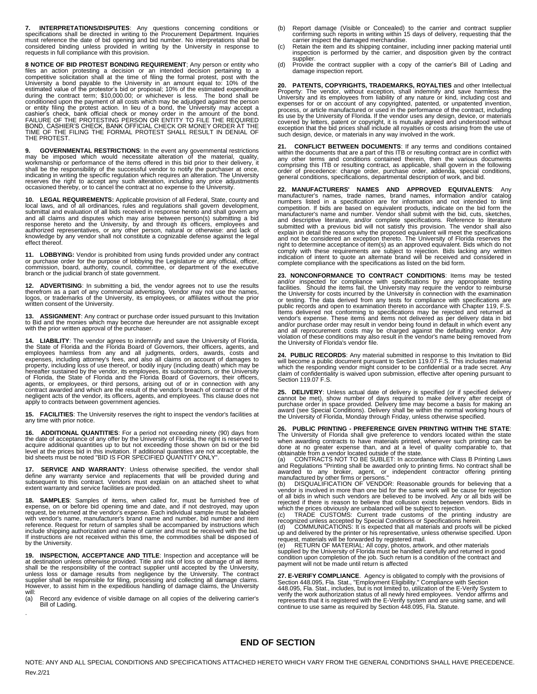**7. INTERPRETATIONS/DISPUTES**: Any questions concerning conditions or specifications shall be directed in writing to the Procurement Department. Inquiries must reference the date of bid opening and bid number. No interpretations shall be considered binding unless provided in writing by the University in response to requests in full compliance with this provision.

**8 NOTICE OF BID PROTEST BONDING REQUIREMENT**; Any person or entity who files an action protesting a decision or an intended decision pertaining to a competitive solicitation shall at the time of filing the formal protest, or entity filing the protest action. In lieu of a bond, the University may accept a<br>cashier's check, bank official check or money order in the amount of the bond.<br>FAILURE OF THE PROTESTING PERSON OR ENTITY TO FILE THE REQU THE PROTEST.

**9. GOVERNMENTAL RESTRICTIONS:** In the event any governmental restrictions<br>may be imposed which would necessitate alteration of the material, quality,<br>workmanship or performance of the items offered in this bid prior to th shall be the responsibility of the successful vendor to notify the purchaser at once, indicating in writing the specific regulation which requires an alteration. The University<br>reserves the right to accept any such alteration, including any price adjustments<br>occasioned thereby, or to cancel the contract at

**10. LEGAL REQUIREMENTS:** Applicable provision of all Federal, State, county and local laws, and of all ordinances, rules and regulations shall govern development, submittal and evaluation of all bids received in response hereto and shall govern any and all claims and disputes which may arise between person(s) submitting a bid<br>response hereto and the University, by and through its officers, employees and<br>authorized representatives, or any other person, natural or othe effect thereof.

**11. LOBBYING:** Vendor is prohibited from using funds provided under any contract or purchase order for the purpose of lobbying the Legislature or any official, officer, commission, board, authority, council, committee, or department of the executive branch or the judicial branch of state government.

**12. ADVERTISING**: In submitting a bid, the vendor agrees not to use the results<br>therefrom as a part of any commercial advertising. Vendor may not use the names,<br>logos, or trademarks of the University, its employees, or af written consent of the University.

13. ASSIGNMENT: Any contract or purchase order issued pursuant to this Invitation<br>to Bid and the monies which may become due hereunder are not assignable except<br>with the prior written approval of the purchaser.

**14. LIABILITY**: The vendor agrees to indemnify and save the University of Florida, the State of Florida and the Florida Board of Governors, their officers, agents, and employees harmless from any and all judgments, orders, awards, costs and<br>expenses, including attorney's fees, and also all claims on account of damages to<br>property, including loss of use thereof, or bodily injury (includin hereafter sustained by the vendor, its employees, its subcontractors, or the University of Florida, the State of Florida and the Florida Board of Governors, their officers, agents, or employees, or third persons, arising out of or in connection with any contract awarded and which are the result of the vendor's breach of contract or of the<br>negligent acts of the vendor, its officers, agents, and employees. This clause does not<br>apply to contracts between government agencies.

**15. FACILITIES**: The University reserves the right to inspect the vendor's facilities at any time with prior notice.

**16. ADDITIONAL QUANTITIES**: For a period not exceeding ninety (90) days from the date of acceptance of any offer by the University of Florida, the right is reserved to acquire additional quantities up to but not exceeding those shown on bid or the bid<br>level at the prices bid in this invitation. If additional quantities are not acceptable, the<br>bid sheets must be noted "BID IS FOR SPECIFIE

**SERVICE AND WARRANTY:** Unless otherwise specified, the vendor shall define any warranty service and replacements that will be provided during and subsequent to this contract. Vendors must explain on an attached sheet to what extent warranty and service facilities are provided.

**18. SAMPLES**: Samples of items, when called for, must be furnished free of expense, on or before bid opening time and date, and if not destroyed, may upon request, be returned at the vendor's expense. Each individual sample must be labeled<br>with vendor's name, manufacturer's brand name and number, bid number and item<br>reference. Request for return of samples shall be accompani include shipping authorization and name of carrier and must be received with the bid. If instructions are not received within this time, the commodities shall be disposed of by the University.

**19. INSPECTION, ACCEPTANCE AND TITLE:** Inspection and acceptance will be at destination unless otherwise provided. Title and risk of loss or damage of all items shall be the responsibility of the contract supplier until a will:<br>(a)

Record any evidence of visible damage on all copies of the delivering carrier's Bill of Lading.

.

- (b) Report damage (Visible or Concealed) to the carrier and contract supplier confirming such reports in writing within 15 days of delivery, requesting that the
- carrier inspect the damaged merchandise.<br>(c) Retain the item and its shipping container, including inner packing material until<br>inspection is performed by the carrier, and disposition given by the contract supplier.
- (d) Provide the contract supplier with a copy of the carrier's Bill of Lading and damage inspection report.

20. PATENTS, COPYRIGHTS, TRADEMARKS, ROYALTIES and other Intellectual<br>Property: The vendor, without exception, shall indemnify and save harmless the<br>University and its employees from liability of any nature or kind, includ expenses for or on account of any copyrighted, patented, or unpatented invention, process, or article manufactured or used in the performance of the contract, including its use by the University of Florida. If the vendor uses any design, device, or materials covered by letters, patent or copyright, it is mutually agreed and understood without exception that the bid prices shall include all royalties or costs arising from the use of such design, device, or materials in any way involved in the work.

**21. CONFLICT BETWEEN DOCUMENTS**: If any terms and conditions contained within the documents that are a part of this ITB or resulting contract are in conflict with any other terms and conditions contained therein, then the various documents<br>comprising this ITB or resulting contract, as applicable, shall govern in the following<br>order of precedence: change order, purchase order, addend general conditions, specifications, departmental description of work, and bid.

**22. MANUFACTURERS' NAMES AND APPROVED EQUIVALENTS**: Any manufacturer's names, trade names, brand names, information and/or catalog numbers listed in a specification are for information and not intended to limit competition. If bids are based on equivalent products, indicate on the bid form the manufacturer's name and number. Vendor shall submit with the bid, cuts, sketches,<br>and descriptive literature, and/or complete specifications. Reference to literature<br>submitted with a previous bid will not satisfy this prov right to determine acceptance of item(s) as an approved equivalent. Bids which do not comply with these requirements are subject to rejection. Bids lacking any written indication of intent to quote an alternate brand will be received and considered in complete compliance with the specifications as listed on the bid form.

**23. NONCONFORMANCE TO CONTRACT CONDITIONS**: Items may be tested and/or inspected for compliance with specifications by any appropriate testing<br>facilities. Should the items fail, the University may require the vendor to reimburse<br>the University for costs incurred by the University in co or testing. The data derived from any tests for compliance with specifications are<br>public records and open to examination thereto in accordance with Chapter 119, F.S.<br>Items delivered not conforming to specifications may be vendor's expense. These items and items not delivered as per delivery data in bid<br>and/or purchase order may result in vendor being found in default in which event any<br>and all reprocurement costs may be charged against the violation of these conditions may also result in the vendor's name being removed from the University of Florida's vendor file.

**24. PUBLIC RECORDS**: Any material submitted in response to this Invitation to Bid will become a public document pursuant to Section 119.07 F.S. This includes material which the responding vendor might consider to be confidential or a trade secret. Any claim of confidentiality is waived upon submission, effective after opening pursuant to Section 119.07 F.S.

25. DELIVERY: Unless actual date of delivery is specified (or if specified delivery cannot be met), show number of days required to make delivery after receipt of purchase order in space provided. Delivery time may become

**26. PUBLIC PRINTING - PREFERENCE GIVEN PRINTING WITHIN THE STATE**: The University of Florida shall give preference to vendors located within the state when awarding contracts to have materials printed, whenever such printing can be done at no greater expense than, and at a level of quality comparable to, that obtainable from a vendor located outside of the state.

(a) CONTRACTS NOT TO BE SUBLET: In accordance with Class B Printing Laws and Regulations "Printing shall be awarded only to printing firms. No contract shall be awarded to any broker, agent, or independent contractor offering printing manufactured by other firms or persons."<br>manufactured by oth

of all bids in which such vendors are believed to be involved. Any or all bids will be rejected if there is reason to believe that collusion exists between vendors. Bids in

which the prices obviously are unbalanced will be subject to rejection.<br>
(c) TRADE CUSTOMS: Current trade customs of the printing industry are<br>
recognized unless accepted by Special Conditions or Specifications herein.<br>
(d

condition upon completion of the job. Such return is a condition of the contract and payment will not be made until return is affected

**27. E-VERIFY COMPLIANCE**. Agency is obligated to comply with the provisions of<br>Section 448.095, Fla. Stat., "Employment Eligibility." Compliance with Section<br>448.095, Fla. Stat., includes, but is not limited to, utilizat verify the work authorization status of all newly hired employees. Vendor affirms and<br>represents that it is registered with the E-Verify system and are using same, and will<br>continue to use same as required by Section 448.

#### **END OF SECTION**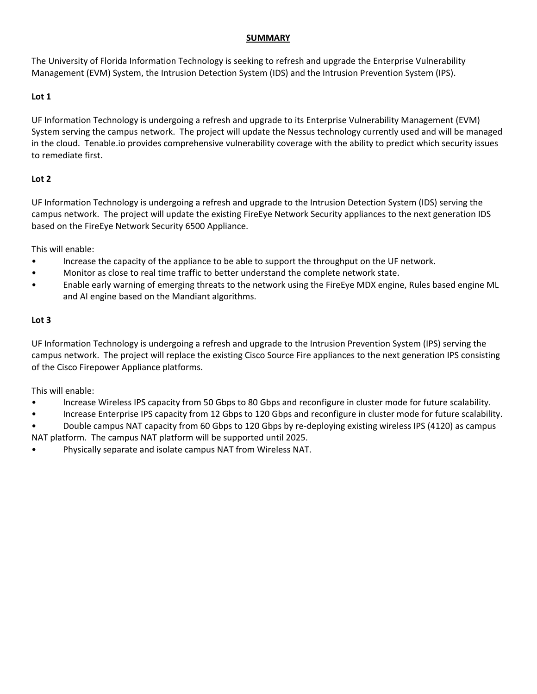#### **SUMMARY**

The University of Florida Information Technology is seeking to refresh and upgrade the Enterprise Vulnerability Management (EVM) System, the Intrusion Detection System (IDS) and the Intrusion Prevention System (IPS).

## **Lot 1**

UF Information Technology is undergoing a refresh and upgrade to its Enterprise Vulnerability Management (EVM) System serving the campus network. The project will update the Nessus technology currently used and will be managed in the cloud. Tenable.io provides comprehensive vulnerability coverage with the ability to predict which security issues to remediate first.

# **Lot 2**

UF Information Technology is undergoing a refresh and upgrade to the Intrusion Detection System (IDS) serving the campus network. The project will update the existing FireEye Network Security appliances to the next generation IDS based on the FireEye Network Security 6500 Appliance.

This will enable:

- Increase the capacity of the appliance to be able to support the throughput on the UF network.
- Monitor as close to real time traffic to better understand the complete network state.
- Enable early warning of emerging threats to the network using the FireEye MDX engine, Rules based engine ML and AI engine based on the Mandiant algorithms.

# **Lot 3**

UF Information Technology is undergoing a refresh and upgrade to the Intrusion Prevention System (IPS) serving the campus network. The project will replace the existing Cisco Source Fire appliances to the next generation IPS consisting of the Cisco Firepower Appliance platforms.

This will enable:

- Increase Wireless IPS capacity from 50 Gbps to 80 Gbps and reconfigure in cluster mode for future scalability.
- Increase Enterprise IPS capacity from 12 Gbps to 120 Gbps and reconfigure in cluster mode for future scalability.
- Double campus NAT capacity from 60 Gbps to 120 Gbps by re-deploying existing wireless IPS (4120) as campus NAT platform. The campus NAT platform will be supported until 2025.
- Physically separate and isolate campus NAT from Wireless NAT.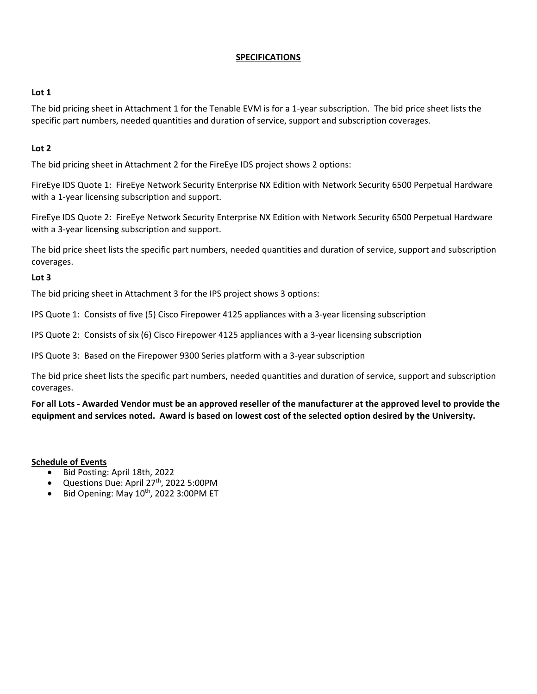#### **SPECIFICATIONS**

## **Lot 1**

The bid pricing sheet in Attachment 1 for the Tenable EVM is for a 1-year subscription. The bid price sheet lists the specific part numbers, needed quantities and duration of service, support and subscription coverages.

# **Lot 2**

The bid pricing sheet in Attachment 2 for the FireEye IDS project shows 2 options:

FireEye IDS Quote 1: FireEye Network Security Enterprise NX Edition with Network Security 6500 Perpetual Hardware with a 1-year licensing subscription and support.

FireEye IDS Quote 2: FireEye Network Security Enterprise NX Edition with Network Security 6500 Perpetual Hardware with a 3-year licensing subscription and support.

The bid price sheet lists the specific part numbers, needed quantities and duration of service, support and subscription coverages.

## **Lot 3**

The bid pricing sheet in Attachment 3 for the IPS project shows 3 options:

IPS Quote 1: Consists of five (5) Cisco Firepower 4125 appliances with a 3-year licensing subscription

IPS Quote 2: Consists of six (6) Cisco Firepower 4125 appliances with a 3-year licensing subscription

IPS Quote 3: Based on the Firepower 9300 Series platform with a 3-year subscription

The bid price sheet lists the specific part numbers, needed quantities and duration of service, support and subscription coverages.

**For all Lots - Awarded Vendor must be an approved reseller of the manufacturer at the approved level to provide the equipment and services noted. Award is based on lowest cost of the selected option desired by the University.**

**Schedule of Events**

- Bid Posting: April 18th, 2022
- Questions Due: April 27<sup>th</sup>, 2022 5:00PM
- Bid Opening: May 10<sup>th</sup>, 2022 3:00PM ET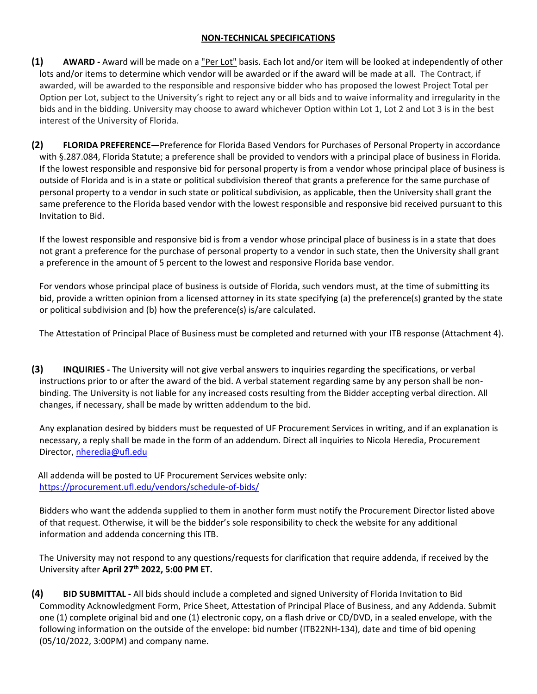# **NON-TECHNICAL SPECIFICATIONS**

- **(1) AWARD -** Award will be made on a "Per Lot" basis. Each lot and/or item will be looked at independently of other lots and/or items to determine which vendor will be awarded or if the award will be made at all. The Contract, if awarded, will be awarded to the responsible and responsive bidder who has proposed the lowest Project Total per Option per Lot, subject to the University's right to reject any or all bids and to waive informality and irregularity in the bids and in the bidding. University may choose to award whichever Option within Lot 1, Lot 2 and Lot 3 is in the best interest of the University of Florida.
- **(2) FLORIDA PREFERENCE—**Preference for Florida Based Vendors for Purchases of Personal Property in accordance with §.287.084, Florida Statute; a preference shall be provided to vendors with a principal place of business in Florida. If the lowest responsible and responsive bid for personal property is from a vendor whose principal place of business is outside of Florida and is in a state or political subdivision thereof that grants a preference for the same purchase of personal property to a vendor in such state or political subdivision, as applicable, then the University shall grant the same preference to the Florida based vendor with the lowest responsible and responsive bid received pursuant to this Invitation to Bid.

If the lowest responsible and responsive bid is from a vendor whose principal place of business is in a state that does not grant a preference for the purchase of personal property to a vendor in such state, then the University shall grant a preference in the amount of 5 percent to the lowest and responsive Florida base vendor.

For vendors whose principal place of business is outside of Florida, such vendors must, at the time of submitting its bid, provide a written opinion from a licensed attorney in its state specifying (a) the preference(s) granted by the state or political subdivision and (b) how the preference(s) is/are calculated.

# The Attestation of Principal Place of Business must be completed and returned with your ITB response (Attachment 4).

**(3) INQUIRIES -** The University will not give verbal answers to inquiries regarding the specifications, or verbal instructions prior to or after the award of the bid. A verbal statement regarding same by any person shall be nonbinding. The University is not liable for any increased costs resulting from the Bidder accepting verbal direction. All changes, if necessary, shall be made by written addendum to the bid.

Any explanation desired by bidders must be requested of UF Procurement Services in writing, and if an explanation is necessary, a reply shall be made in the form of an addendum. Direct all inquiries to Nicola Heredia, Procurement Director, [nheredia@ufl.edu](mailto:nheredia@ufl.edu)

 All addenda will be posted to UF Procurement Services website only: <https://procurement.ufl.edu/vendors/schedule-of-bids/>

Bidders who want the addenda supplied to them in another form must notify the Procurement Director listed above of that request. Otherwise, it will be the bidder's sole responsibility to check the website for any additional information and addenda concerning this ITB.

The University may not respond to any questions/requests for clarification that require addenda, if received by the University after **April 27th 2022, 5:00 PM ET.**

**(4) BID SUBMITTAL -** All bids should include a completed and signed University of Florida Invitation to Bid Commodity Acknowledgment Form, Price Sheet, Attestation of Principal Place of Business, and any Addenda. Submit one (1) complete original bid and one (1) electronic copy, on a flash drive or CD/DVD, in a sealed envelope, with the following information on the outside of the envelope: bid number (ITB22NH-134), date and time of bid opening (05/10/2022, 3:00PM) and company name.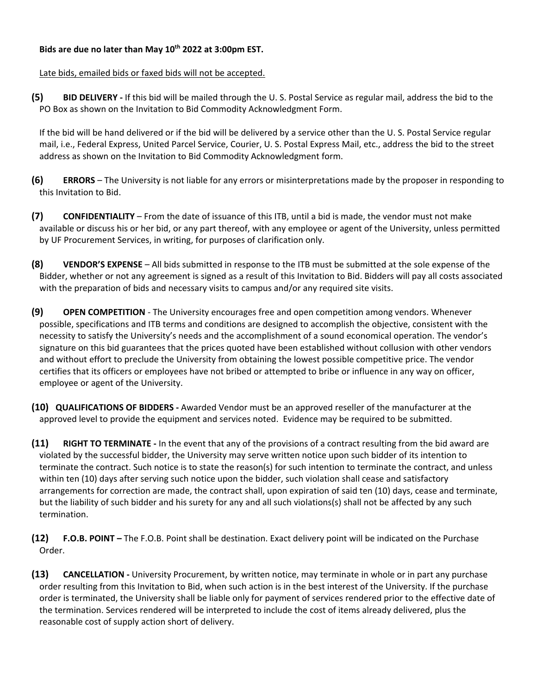## **Bids are due no later than May 10th 2022 at 3:00pm EST.**

Late bids, emailed bids or faxed bids will not be accepted.

**(5) BID DELIVERY -** If this bid will be mailed through the U. S. Postal Service as regular mail, address the bid to the PO Box as shown on the Invitation to Bid Commodity Acknowledgment Form.

If the bid will be hand delivered or if the bid will be delivered by a service other than the U. S. Postal Service regular mail, i.e., Federal Express, United Parcel Service, Courier, U. S. Postal Express Mail, etc., address the bid to the street address as shown on the Invitation to Bid Commodity Acknowledgment form.

- **(6) ERRORS**  The University is not liable for any errors or misinterpretations made by the proposer in responding to this Invitation to Bid.
- **(7) CONFIDENTIALITY**  From the date of issuance of this ITB, until a bid is made, the vendor must not make available or discuss his or her bid, or any part thereof, with any employee or agent of the University, unless permitted by UF Procurement Services, in writing, for purposes of clarification only.
- **(8) VENDOR'S EXPENSE** All bids submitted in response to the ITB must be submitted at the sole expense of the Bidder, whether or not any agreement is signed as a result of this Invitation to Bid. Bidders will pay all costs associated with the preparation of bids and necessary visits to campus and/or any required site visits.
- **(9) OPEN COMPETITION** The University encourages free and open competition among vendors. Whenever possible, specifications and ITB terms and conditions are designed to accomplish the objective, consistent with the necessity to satisfy the University's needs and the accomplishment of a sound economical operation. The vendor's signature on this bid guarantees that the prices quoted have been established without collusion with other vendors and without effort to preclude the University from obtaining the lowest possible competitive price. The vendor certifies that its officers or employees have not bribed or attempted to bribe or influence in any way on officer, employee or agent of the University.
- **(10) QUALIFICATIONS OF BIDDERS -** Awarded Vendor must be an approved reseller of the manufacturer at the approved level to provide the equipment and services noted. Evidence may be required to be submitted.
- **(11) RIGHT TO TERMINATE -** In the event that any of the provisions of a contract resulting from the bid award are violated by the successful bidder, the University may serve written notice upon such bidder of its intention to terminate the contract. Such notice is to state the reason(s) for such intention to terminate the contract, and unless within ten (10) days after serving such notice upon the bidder, such violation shall cease and satisfactory arrangements for correction are made, the contract shall, upon expiration of said ten (10) days, cease and terminate, but the liability of such bidder and his surety for any and all such violations(s) shall not be affected by any such termination.
- **(12) F.O.B. POINT –** The F.O.B. Point shall be destination. Exact delivery point will be indicated on the Purchase Order.
- **(13) CANCELLATION -** University Procurement, by written notice, may terminate in whole or in part any purchase order resulting from this Invitation to Bid, when such action is in the best interest of the University. If the purchase order is terminated, the University shall be liable only for payment of services rendered prior to the effective date of the termination. Services rendered will be interpreted to include the cost of items already delivered, plus the reasonable cost of supply action short of delivery.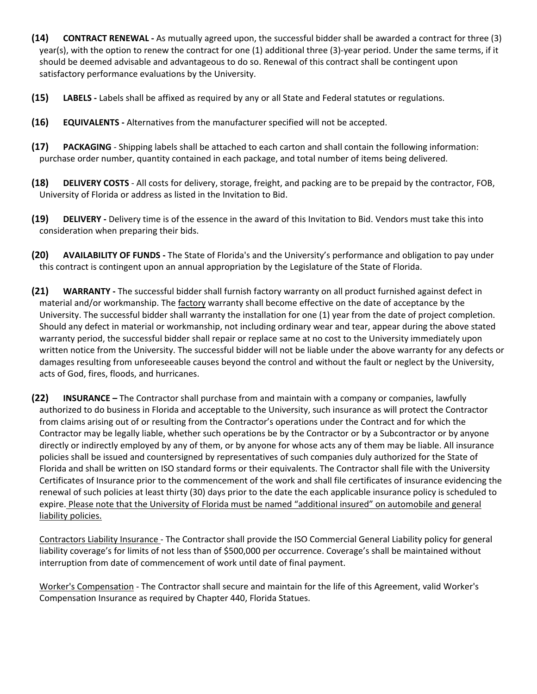- **(14) CONTRACT RENEWAL -** As mutually agreed upon, the successful bidder shall be awarded a contract for three (3) year(s), with the option to renew the contract for one (1) additional three (3)-year period. Under the same terms, if it should be deemed advisable and advantageous to do so. Renewal of this contract shall be contingent upon satisfactory performance evaluations by the University.
- **(15) LABELS -** Labels shall be affixed as required by any or all State and Federal statutes or regulations.
- **(16) EQUIVALENTS -** Alternatives from the manufacturer specified will not be accepted.
- **(17) PACKAGING** Shipping labels shall be attached to each carton and shall contain the following information: purchase order number, quantity contained in each package, and total number of items being delivered.
- **(18) DELIVERY COSTS** All costs for delivery, storage, freight, and packing are to be prepaid by the contractor, FOB, University of Florida or address as listed in the Invitation to Bid.
- **(19) DELIVERY -** Delivery time is of the essence in the award of this Invitation to Bid. Vendors must take this into consideration when preparing their bids.
- **(20) AVAILABILITY OF FUNDS -** The State of Florida's and the University's performance and obligation to pay under this contract is contingent upon an annual appropriation by the Legislature of the State of Florida.
- **(21) WARRANTY -** The successful bidder shall furnish factory warranty on all product furnished against defect in material and/or workmanship. The factory warranty shall become effective on the date of acceptance by the University. The successful bidder shall warranty the installation for one (1) year from the date of project completion. Should any defect in material or workmanship, not including ordinary wear and tear, appear during the above stated warranty period, the successful bidder shall repair or replace same at no cost to the University immediately upon written notice from the University. The successful bidder will not be liable under the above warranty for any defects or damages resulting from unforeseeable causes beyond the control and without the fault or neglect by the University, acts of God, fires, floods, and hurricanes.
- **(22) INSURANCE –** The Contractor shall purchase from and maintain with a company or companies, lawfully authorized to do business in Florida and acceptable to the University, such insurance as will protect the Contractor from claims arising out of or resulting from the Contractor's operations under the Contract and for which the Contractor may be legally liable, whether such operations be by the Contractor or by a Subcontractor or by anyone directly or indirectly employed by any of them, or by anyone for whose acts any of them may be liable. All insurance policies shall be issued and countersigned by representatives of such companies duly authorized for the State of Florida and shall be written on ISO standard forms or their equivalents. The Contractor shall file with the University Certificates of Insurance prior to the commencement of the work and shall file certificates of insurance evidencing the renewal of such policies at least thirty (30) days prior to the date the each applicable insurance policy is scheduled to expire. Please note that the University of Florida must be named "additional insured" on automobile and general liability policies.

Contractors Liability Insurance - The Contractor shall provide the ISO Commercial General Liability policy for general liability coverage's for limits of not less than of \$500,000 per occurrence. Coverage's shall be maintained without interruption from date of commencement of work until date of final payment.

Worker's Compensation - The Contractor shall secure and maintain for the life of this Agreement, valid Worker's Compensation Insurance as required by Chapter 440, Florida Statues.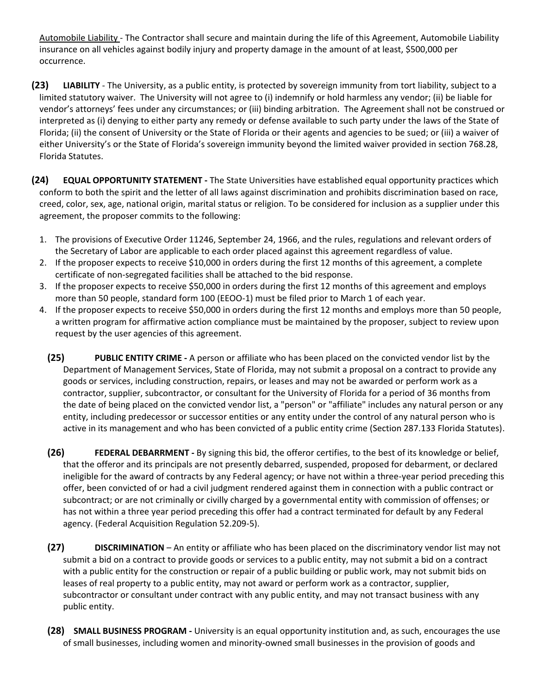Automobile Liability - The Contractor shall secure and maintain during the life of this Agreement, Automobile Liability insurance on all vehicles against bodily injury and property damage in the amount of at least, \$500,000 per occurrence.

- **(23) LIABILITY** The University, as a public entity, is protected by sovereign immunity from tort liability, subject to a limited statutory waiver. The University will not agree to (i) indemnify or hold harmless any vendor; (ii) be liable for vendor's attorneys' fees under any circumstances; or (iii) binding arbitration. The Agreement shall not be construed or interpreted as (i) denying to either party any remedy or defense available to such party under the laws of the State of Florida; (ii) the consent of University or the State of Florida or their agents and agencies to be sued; or (iii) a waiver of either University's or the State of Florida's sovereign immunity beyond the limited waiver provided in section 768.28, Florida Statutes.
- **(24) EQUAL OPPORTUNITY STATEMENT -** The State Universities have established equal opportunity practices which conform to both the spirit and the letter of all laws against discrimination and prohibits discrimination based on race, creed, color, sex, age, national origin, marital status or religion. To be considered for inclusion as a supplier under this agreement, the proposer commits to the following:
	- 1. The provisions of Executive Order 11246, September 24, 1966, and the rules, regulations and relevant orders of the Secretary of Labor are applicable to each order placed against this agreement regardless of value.
	- 2. If the proposer expects to receive \$10,000 in orders during the first 12 months of this agreement, a complete certificate of non-segregated facilities shall be attached to the bid response.
	- 3. If the proposer expects to receive \$50,000 in orders during the first 12 months of this agreement and employs more than 50 people, standard form 100 (EEOO-1) must be filed prior to March 1 of each year.
	- 4. If the proposer expects to receive \$50,000 in orders during the first 12 months and employs more than 50 people, a written program for affirmative action compliance must be maintained by the proposer, subject to review upon request by the user agencies of this agreement.
		- **(25) PUBLIC ENTITY CRIME -** A person or affiliate who has been placed on the convicted vendor list by the Department of Management Services, State of Florida, may not submit a proposal on a contract to provide any goods or services, including construction, repairs, or leases and may not be awarded or perform work as a contractor, supplier, subcontractor, or consultant for the University of Florida for a period of 36 months from the date of being placed on the convicted vendor list, a "person" or "affiliate" includes any natural person or any entity, including predecessor or successor entities or any entity under the control of any natural person who is active in its management and who has been convicted of a public entity crime (Section 287.133 Florida Statutes).
		- **(26) FEDERAL DEBARRMENT -** By signing this bid, the offeror certifies, to the best of its knowledge or belief, that the offeror and its principals are not presently debarred, suspended, proposed for debarment, or declared ineligible for the award of contracts by any Federal agency; or have not within a three-year period preceding this offer, been convicted of or had a civil judgment rendered against them in connection with a public contract or subcontract; or are not criminally or civilly charged by a governmental entity with commission of offenses; or has not within a three year period preceding this offer had a contract terminated for default by any Federal agency. (Federal Acquisition Regulation 52.209-5).
		- **(27) DISCRIMINATION** An entity or affiliate who has been placed on the discriminatory vendor list may not submit a bid on a contract to provide goods or services to a public entity, may not submit a bid on a contract with a public entity for the construction or repair of a public building or public work, may not submit bids on leases of real property to a public entity, may not award or perform work as a contractor, supplier, subcontractor or consultant under contract with any public entity, and may not transact business with any public entity.
		- **(28) SMALL BUSINESS PROGRAM -** University is an equal opportunity institution and, as such, encourages the use of small businesses, including women and minority-owned small businesses in the provision of goods and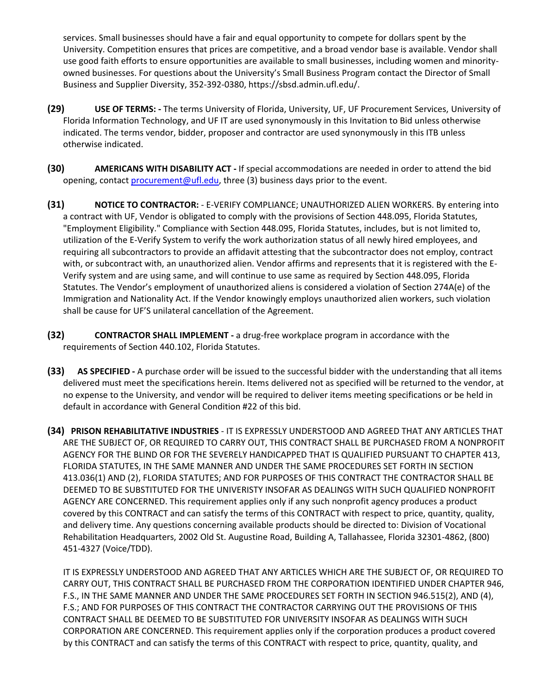services. Small businesses should have a fair and equal opportunity to compete for dollars spent by the University. Competition ensures that prices are competitive, and a broad vendor base is available. Vendor shall use good faith efforts to ensure opportunities are available to small businesses, including women and minorityowned businesses. For questions about the University's Small Business Program contact the Director of Small Business and Supplier Diversity, 352-392-0380, https://sbsd.admin.ufl.edu/.

- **(29) USE OF TERMS: -** The terms University of Florida, University, UF, UF Procurement Services, University of Florida Information Technology, and UF IT are used synonymously in this Invitation to Bid unless otherwise indicated. The terms vendor, bidder, proposer and contractor are used synonymously in this ITB unless otherwise indicated.
- **(30) AMERICANS WITH DISABILITY ACT -** If special accommodations are needed in order to attend the bid opening, contac[t procurement@ufl.edu,](mailto:procurement@ufl.edu) three (3) business days prior to the event.
- **(31) NOTICE TO CONTRACTOR:** E-VERIFY COMPLIANCE; UNAUTHORIZED ALIEN WORKERS. By entering into a contract with UF, Vendor is obligated to comply with the provisions of Section 448.095, Florida Statutes, "Employment Eligibility." Compliance with Section 448.095, Florida Statutes, includes, but is not limited to, utilization of the E-Verify System to verify the work authorization status of all newly hired employees, and requiring all subcontractors to provide an affidavit attesting that the subcontractor does not employ, contract with, or subcontract with, an unauthorized alien. Vendor affirms and represents that it is registered with the E-Verify system and are using same, and will continue to use same as required by Section 448.095, Florida Statutes. The Vendor's employment of unauthorized aliens is considered a violation of Section 274A(e) of the Immigration and Nationality Act. If the Vendor knowingly employs unauthorized alien workers, such violation shall be cause for UF'S unilateral cancellation of the Agreement.
- **(32) CONTRACTOR SHALL IMPLEMENT -** a drug-free workplace program in accordance with the requirements of Section 440.102, Florida Statutes.
- **(33) AS SPECIFIED -** A purchase order will be issued to the successful bidder with the understanding that all items delivered must meet the specifications herein. Items delivered not as specified will be returned to the vendor, at no expense to the University, and vendor will be required to deliver items meeting specifications or be held in default in accordance with General Condition #22 of this bid.
- **(34) PRISON REHABILITATIVE INDUSTRIES** IT IS EXPRESSLY UNDERSTOOD AND AGREED THAT ANY ARTICLES THAT ARE THE SUBJECT OF, OR REQUIRED TO CARRY OUT, THIS CONTRACT SHALL BE PURCHASED FROM A NONPROFIT AGENCY FOR THE BLIND OR FOR THE SEVERELY HANDICAPPED THAT IS QUALIFIED PURSUANT TO CHAPTER 413, FLORIDA STATUTES, IN THE SAME MANNER AND UNDER THE SAME PROCEDURES SET FORTH IN SECTION 413.036(1) AND (2), FLORIDA STATUTES; AND FOR PURPOSES OF THIS CONTRACT THE CONTRACTOR SHALL BE DEEMED TO BE SUBSTITUTED FOR THE UNIVERISTY INSOFAR AS DEALINGS WITH SUCH QUALIFIED NONPROFIT AGENCY ARE CONCERNED. This requirement applies only if any such nonprofit agency produces a product covered by this CONTRACT and can satisfy the terms of this CONTRACT with respect to price, quantity, quality, and delivery time. Any questions concerning available products should be directed to: Division of Vocational Rehabilitation Headquarters, 2002 Old St. Augustine Road, Building A, Tallahassee, Florida 32301-4862, (800) 451-4327 (Voice/TDD).

IT IS EXPRESSLY UNDERSTOOD AND AGREED THAT ANY ARTICLES WHICH ARE THE SUBJECT OF, OR REQUIRED TO CARRY OUT, THIS CONTRACT SHALL BE PURCHASED FROM THE CORPORATION IDENTIFIED UNDER CHAPTER 946, F.S., IN THE SAME MANNER AND UNDER THE SAME PROCEDURES SET FORTH IN SECTION 946.515(2), AND (4), F.S.; AND FOR PURPOSES OF THIS CONTRACT THE CONTRACTOR CARRYING OUT THE PROVISIONS OF THIS CONTRACT SHALL BE DEEMED TO BE SUBSTITUTED FOR UNIVERSITY INSOFAR AS DEALINGS WITH SUCH CORPORATION ARE CONCERNED. This requirement applies only if the corporation produces a product covered by this CONTRACT and can satisfy the terms of this CONTRACT with respect to price, quantity, quality, and